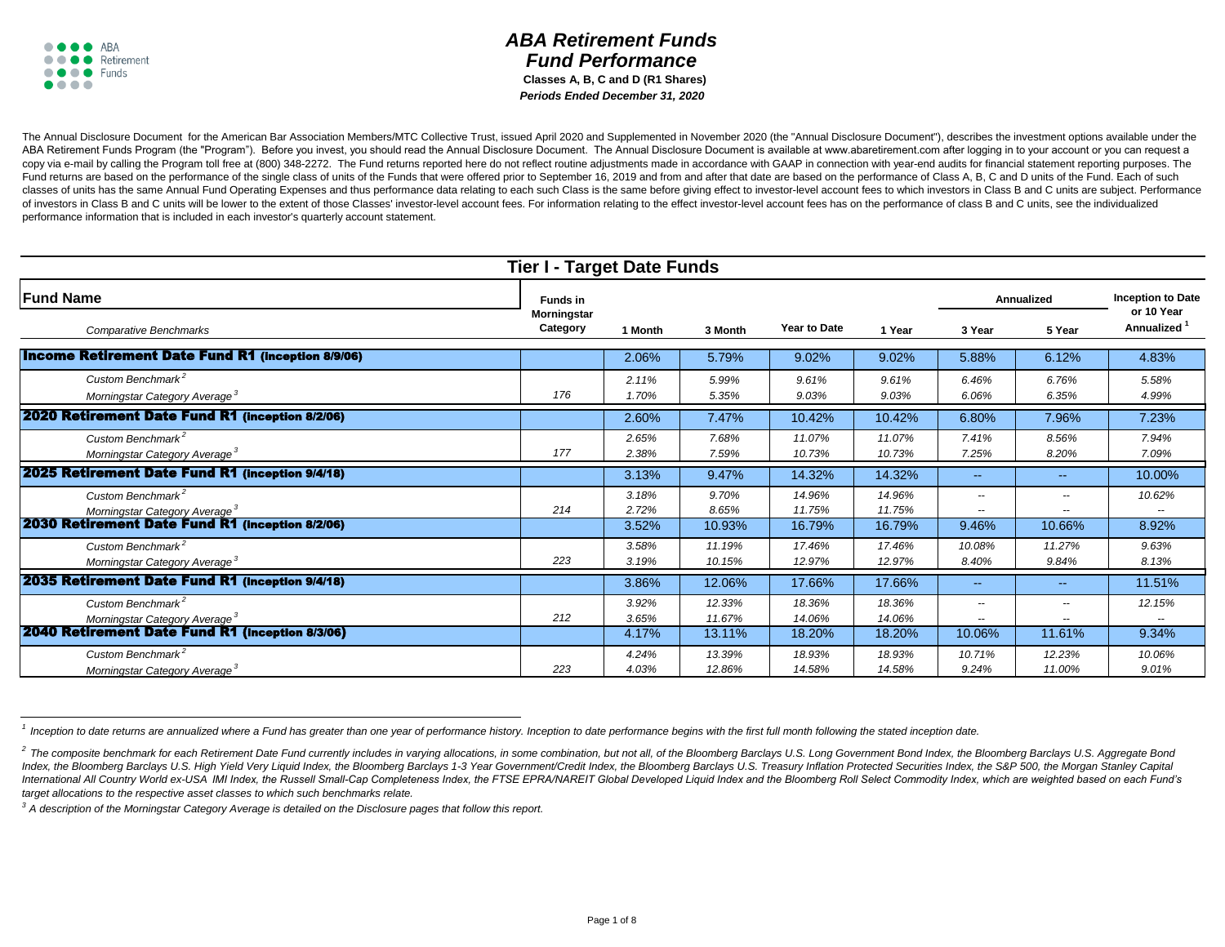## *ABA Retirement Funds Fund Performance*  **Classes A, B, C and D (R1 Shares)** *Periods Ended December 31, 2020*

The Annual Disclosure Document for the American Bar Association Members/MTC Collective Trust, issued April 2020 and Supplemented in November 2020 (the "Annual Disclosure Document"), describes the investment options availab ABA Retirement Funds Program (the "Program"). Before you invest, you should read the Annual Disclosure Document. The Annual Disclosure Document is available at www.abaretirement.com after logging in to your account or you copy via e-mail by calling the Program toll free at (800) 348-2272. The Fund returns reported here do not reflect routine adjustments made in accordance with GAAP in connection with year-end audits for financial statement Fund returns are based on the performance of the single class of units of the Funds that were offered prior to September 16, 2019 and from and after that date are based on the performance of Class A, B, C and D units of th classes of units has the same Annual Fund Operating Expenses and thus performance data relating to each such Class is the same before giving effect to investor-level account fees to which investors in Class B and C units a of investors in Class B and C units will be lower to the extent of those Classes' investor-level account fees. For information relating to the effect investor-level account fees has on the performance of class B and C unit performance information that is included in each investor's quarterly account statement.

| <b>Tier I - Target Date Funds</b>                                                                                             |                                |                         |                            |                            |                            |                                                                |                                                                |                                        |  |  |
|-------------------------------------------------------------------------------------------------------------------------------|--------------------------------|-------------------------|----------------------------|----------------------------|----------------------------|----------------------------------------------------------------|----------------------------------------------------------------|----------------------------------------|--|--|
| <b>Fund Name</b>                                                                                                              | Funds in                       |                         |                            |                            |                            | Annualized                                                     |                                                                | <b>Inception to Date</b><br>or 10 Year |  |  |
| <b>Comparative Benchmarks</b>                                                                                                 | <b>Morningstar</b><br>Category | 1 Month                 | 3 Month                    | <b>Year to Date</b>        | 1 Year                     | 3 Year                                                         | 5 Year                                                         | Annualized                             |  |  |
| <b>Income Retirement Date Fund R1 (inception 8/9/06)</b>                                                                      |                                | 2.06%                   | 5.79%                      | 9.02%                      | 9.02%                      | 5.88%                                                          | 6.12%                                                          | 4.83%                                  |  |  |
| Custom Benchmark <sup>2</sup><br>Morningstar Category Average <sup>3</sup>                                                    | 176                            | 2.11%<br>1.70%          | 5.99%<br>5.35%             | 9.61%<br>9.03%             | 9.61%<br>9.03%             | 6.46%<br>6.06%                                                 | 6.76%<br>6.35%                                                 | 5.58%<br>4.99%                         |  |  |
| 2020 Retirement Date Fund R1 (inception 8/2/06)                                                                               |                                | 2.60%                   | 7.47%                      | 10.42%                     | 10.42%                     | 6.80%                                                          | 7.96%                                                          | 7.23%                                  |  |  |
| Custom Benchmark <sup>2</sup><br>Morningstar Category Average <sup>3</sup>                                                    | 177                            | 2.65%<br>2.38%          | 7.68%<br>7.59%             | 11.07%<br>10.73%           | 11.07%<br>10.73%           | 7.41%<br>7.25%                                                 | 8.56%<br>8.20%                                                 | 7.94%<br>7.09%                         |  |  |
| 2025 Retirement Date Fund R1 (inception 9/4/18)                                                                               |                                | 3.13%                   | 9.47%                      | 14.32%                     | 14.32%                     | $\sim$                                                         | $-$                                                            | 10.00%                                 |  |  |
| Custom Benchmark <sup>2</sup><br>Morningstar Category Average <sup>3</sup>                                                    | 214                            | 3.18%<br>2.72%          | 9.70%<br>8.65%             | 14.96%<br>11.75%           | 14.96%<br>11.75%           | $\overline{\phantom{a}}$<br>$\overline{\phantom{m}}$           | $\overline{\phantom{a}}$<br>$\overline{a}$                     | 10.62%                                 |  |  |
| 2030 Retirement Date Fund R1 (inception 8/2/06)                                                                               |                                | 3.52%                   | 10.93%                     | 16.79%                     | 16.79%                     | 9.46%                                                          | 10.66%                                                         | 8.92%                                  |  |  |
| Custom Benchmark <sup>2</sup><br>Morningstar Category Average <sup>3</sup>                                                    | 223                            | 3.58%<br>3.19%          | 11.19%<br>10.15%           | 17.46%<br>12.97%           | 17.46%<br>12.97%           | 10.08%<br>8.40%                                                | 11.27%<br>9.84%                                                | 9.63%<br>8.13%                         |  |  |
| <b>2035 Retirement Date Fund R1 (Inception 9/4/18)</b>                                                                        |                                | 3.86%                   | 12.06%                     | 17.66%                     | 17.66%                     | $\sim$                                                         | $\sim$ $\sim$                                                  | 11.51%                                 |  |  |
| Custom Benchmark <sup>2</sup><br>Morningstar Category Average <sup>3</sup><br>2040 Retirement Date Fund R1 (inception 8/3/06) | 212                            | 3.92%<br>3.65%<br>4.17% | 12.33%<br>11.67%<br>13.11% | 18.36%<br>14.06%<br>18.20% | 18.36%<br>14.06%<br>18.20% | $\overline{\phantom{m}}$<br>$\overline{\phantom{m}}$<br>10.06% | $\overline{\phantom{m}}$<br>$\overline{\phantom{a}}$<br>11.61% | 12.15%<br>--<br>9.34%                  |  |  |
| Custom Benchmark <sup>2</sup><br>Morningstar Category Average <sup>3</sup>                                                    | 223                            | 4.24%<br>4.03%          | 13.39%<br>12.86%           | 18.93%<br>14.58%           | 18.93%<br>14.58%           | 10.71%<br>9.24%                                                | 12.23%<br>11.00%                                               | 10.06%<br>9.01%                        |  |  |

<sup>&</sup>lt;sup>1</sup> Inception to date returns are annualized where a Fund has greater than one year of performance history. Inception to date performance begins with the first full month following the stated inception date.

*<sup>3</sup>A description of the Morningstar Category Average is detailed on the Disclosure pages that follow this report.*

<sup>&</sup>lt;sup>2</sup> The composite benchmark for each Retirement Date Fund currently includes in varying allocations, in some combination, but not all, of the Bloomberg Barclays U.S. Long Government Bond Index, the Bloomberg Barclays U.S. Index, the Bloomberg Barclays U.S. High Yield Very Liquid Index, the Bloomberg Barclays 1-3 Year Government/Credit Index, the Bloomberg Barclays U.S. Treasury Inflation Protected Securities Index, the S&P 500, the Morgan S International All Country World ex-USA IMI Index, the Russell Small-Cap Completeness Index, the FTSE EPRA/NAREIT Global Developed Liquid Index and the Bloomberg Roll Select Commodity Index, which are weighted based on each *target allocations to the respective asset classes to which such benchmarks relate.*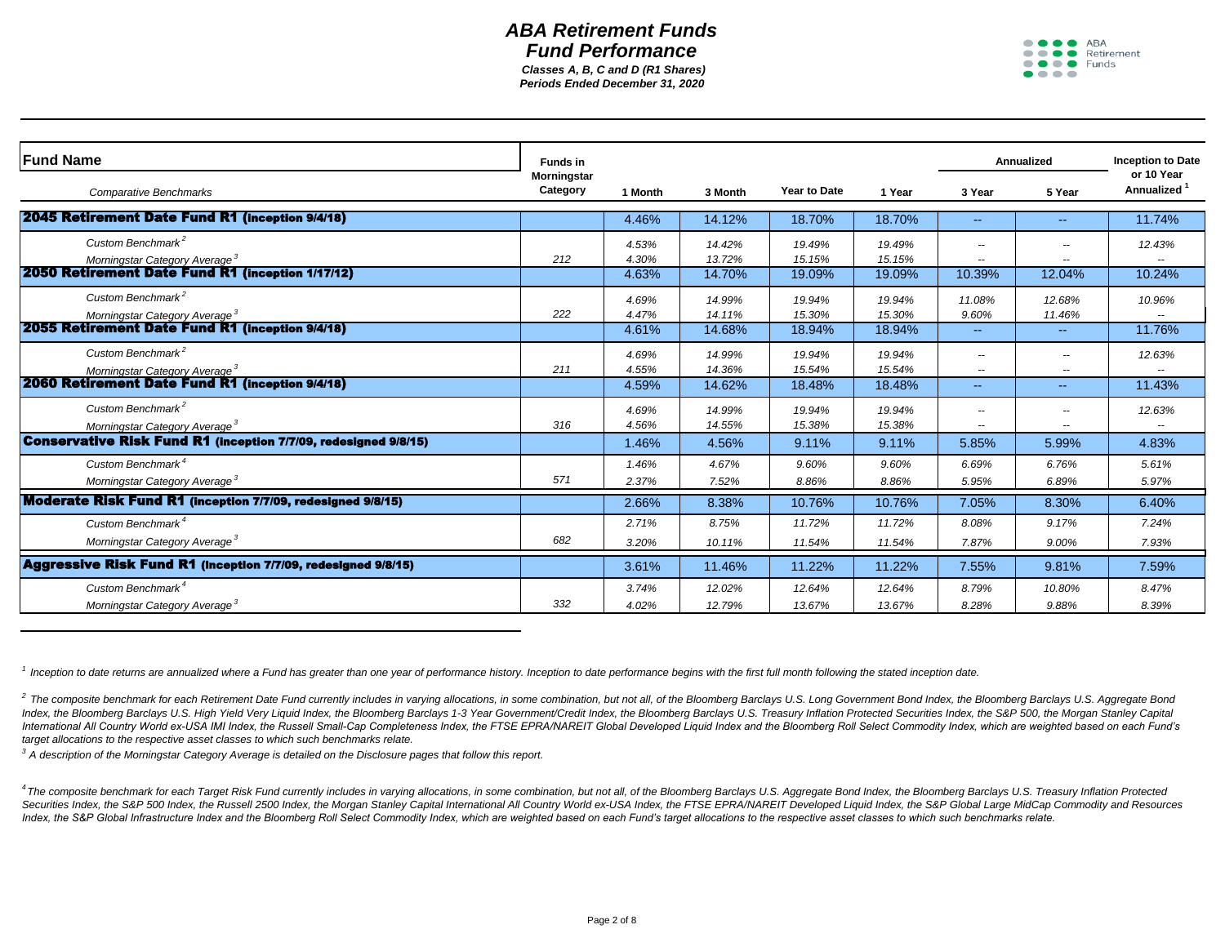*Periods Ended December 31, 2020 Classes A, B, C and D (R1 Shares)*



| <b>IFund Name</b>                                                                                   | <b>Funds in</b>         |         |         |                     |        |        | Annualized               | <b>Inception to Date</b>        |
|-----------------------------------------------------------------------------------------------------|-------------------------|---------|---------|---------------------|--------|--------|--------------------------|---------------------------------|
| <b>Comparative Benchmarks</b>                                                                       | Morningstar<br>Category | 1 Month | 3 Month | <b>Year to Date</b> | 1 Year | 3 Year | 5 Year                   | or 10 Year<br><b>Annualized</b> |
| 2045 Retirement Date Fund R1 (inception 9/4/18)                                                     |                         | 4.46%   | 14.12%  | 18.70%              | 18.70% | $-1$   | $\sim$ $\sim$            | 11.74%                          |
| Custom Benchmark <sup>2</sup>                                                                       |                         | 4.53%   | 14.42%  | 19.49%              | 19.49% | --     | --                       | 12.43%                          |
| Morningstar Category Average <sup>3</sup>                                                           | 212                     | 4.30%   | 13.72%  | 15.15%              | 15.15% | --     | $\overline{\phantom{a}}$ |                                 |
| 2050 Retirement Date Fund R1 (inception 1/17/12)                                                    |                         | 4.63%   | 14.70%  | 19.09%              | 19.09% | 10.39% | 12.04%                   | 10.24%                          |
| Custom Benchmark <sup>2</sup>                                                                       |                         | 4.69%   | 14.99%  | 19.94%              | 19.94% | 11.08% | 12.68%                   | 10.96%                          |
| Morningstar Category Average <sup>3</sup><br><b>2055 Retirement Date Fund R1 (Inception 9/4/18)</b> | 222                     | 4.47%   | 14.11%  | 15.30%              | 15.30% | 9.60%  | 11.46%                   |                                 |
|                                                                                                     |                         | 4.61%   | 14.68%  | 18.94%              | 18.94% | 44     | $\sim$ $\sim$            | 11.76%                          |
| Custom Benchmark <sup>2</sup>                                                                       |                         | 4.69%   | 14.99%  | 19.94%              | 19.94% | --     | $\overline{\phantom{a}}$ | 12.63%                          |
| Morningstar Category Average <sup>3</sup>                                                           | 211                     | 4.55%   | 14.36%  | 15.54%              | 15.54% | --     | $\overline{\phantom{a}}$ |                                 |
| <b>2060 Retirement Date Fund R1 (inception 9/4/18)</b>                                              |                         | 4.59%   | 14.62%  | 18.48%              | 18.48% | 44     | $\sim$ $\sim$            | 11.43%                          |
| Custom Benchmark <sup>2</sup>                                                                       |                         | 4.69%   | 14.99%  | 19.94%              | 19.94% | --     | $\overline{\phantom{a}}$ | 12.63%                          |
| Morningstar Category Average <sup>3</sup>                                                           | 316                     | 4.56%   | 14.55%  | 15.38%              | 15.38% | --     | --                       |                                 |
| <b>Conservative Risk Fund R1 (inception 7/7/09, redesigned 9/8/15)</b>                              |                         | 1.46%   | 4.56%   | 9.11%               | 9.11%  | 5.85%  | 5.99%                    | 4.83%                           |
| Custom Benchmark <sup>4</sup>                                                                       |                         | 1.46%   | 4.67%   | 9.60%               | 9.60%  | 6.69%  | 6.76%                    | 5.61%                           |
| Morningstar Category Average <sup>3</sup>                                                           | 571                     | 2.37%   | 7.52%   | 8.86%               | 8.86%  | 5.95%  | 6.89%                    | 5.97%                           |
| Moderate Risk Fund R1 (Inception 7/7/09, redesigned 9/8/15)                                         |                         | 2.66%   | 8.38%   | 10.76%              | 10.76% | 7.05%  | 8.30%                    | 6.40%                           |
| Custom Benchmark <sup>4</sup>                                                                       |                         | 2.71%   | 8.75%   | 11.72%              | 11.72% | 8.08%  | 9.17%                    | 7.24%                           |
| Morningstar Category Average <sup>3</sup>                                                           | 682                     | 3.20%   | 10.11%  | 11.54%              | 11.54% | 7.87%  | 9.00%                    | 7.93%                           |
| <b>Aggressive Risk Fund R1</b> (inception 7/7/09, redesigned 9/8/15)                                |                         | 3.61%   | 11.46%  | 11.22%              | 11.22% | 7.55%  | 9.81%                    | 7.59%                           |
| Custom Benchmark <sup>4</sup>                                                                       |                         | 3.74%   | 12.02%  | 12.64%              | 12.64% | 8.79%  | 10.80%                   | 8.47%                           |
| Morningstar Category Average <sup>3</sup>                                                           | 332                     | 4.02%   | 12.79%  | 13.67%              | 13.67% | 8.28%  | 9.88%                    | 8.39%                           |

<sup>1</sup> Inception to date returns are annualized where a Fund has greater than one year of performance history. Inception to date performance begins with the first full month following the stated inception date.

<sup>2</sup> The composite benchmark for each Retirement Date Fund currently includes in varying allocations, in some combination, but not all, of the Bloomberg Barclays U.S. Long Government Bond Index, the Bloomberg Barclays U.S. Index, the Bloomberg Barclays U.S. High Yield Very Liquid Index, the Bloomberg Barclays 1-3 Year Government/Credit Index, the Bloomberg Barclays U.S. Treasury Inflation Protected Securities Index, the S&P 500, the Morgan S International All Country World ex-USA IMI Index, the Russell Small-Cap Completeness Index, the FTSE EPRA/NAREIT Global Developed Liquid Index and the Bloomberg Roll Select Commodity Index, which are weighted based on each *target allocations to the respective asset classes to which such benchmarks relate.*

*<sup>3</sup>A description of the Morningstar Category Average is detailed on the Disclosure pages that follow this report.*

4 The composite benchmark for each Target Risk Fund currently includes in varying allocations, in some combination, but not all, of the Bloomberg Barclays U.S. Aggregate Bond Index, the Bloomberg Barclays U.S. Treasury Inf Securities Index, the S&P 500 Index, the Russell 2500 Index, the Morgan Stanley Capital International All Country World ex-USA Index, the FTSE EPRA/NAREIT Developed Liquid Index, the S&P Global Large MidCap Commodity and R *Index, the S&P Global Infrastructure Index and the Bloomberg Roll Select Commodity Index, which are weighted based on each Fund's target allocations to the respective asset classes to which such benchmarks relate.*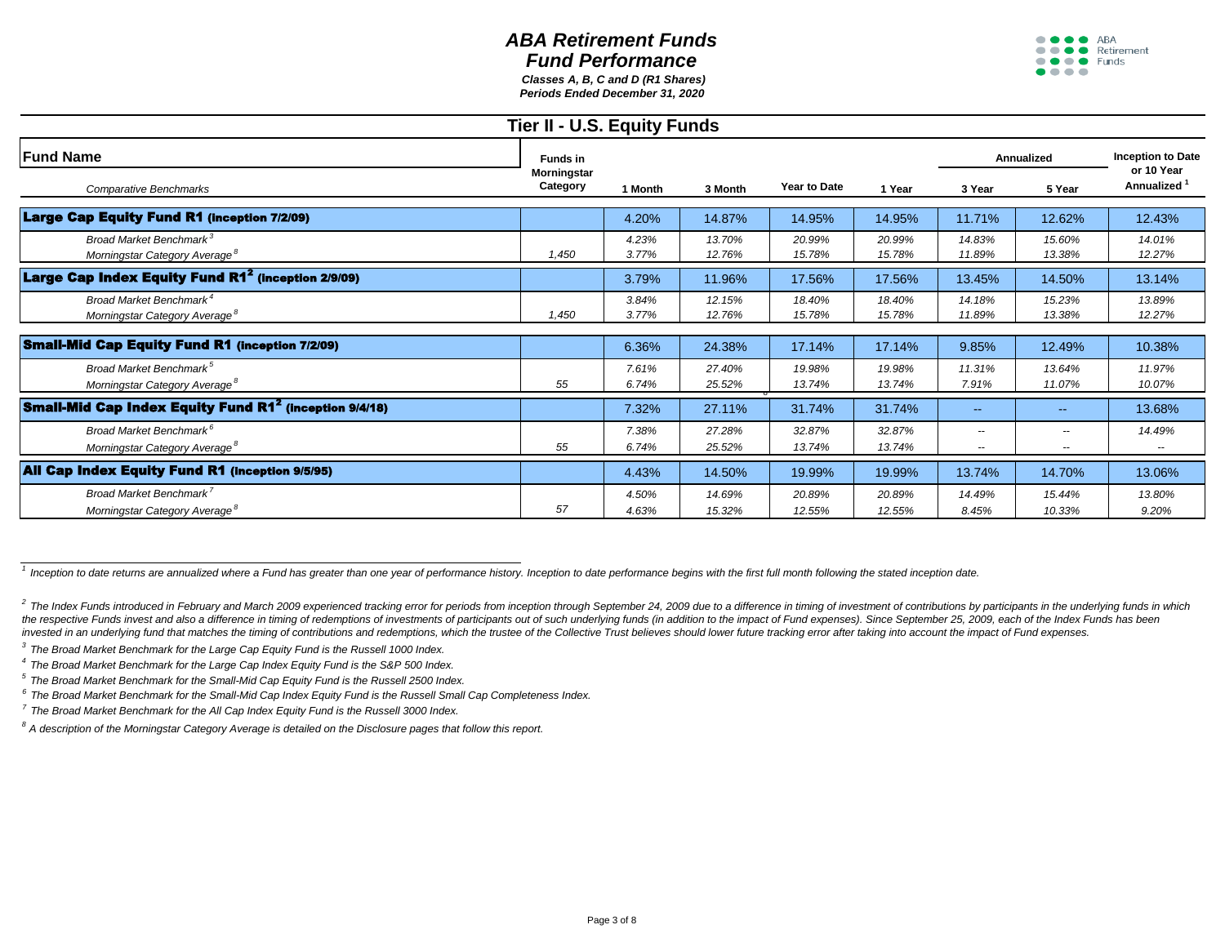## *ABA Retirement Funds Fund Performance Classes A, B, C and D (R1 Shares)*



*Periods Ended December 31, 2020*

| Tier II - U.S. Equity Funds                                                      |                         |                |                  |                  |                  |                         |                                           |                          |  |  |
|----------------------------------------------------------------------------------|-------------------------|----------------|------------------|------------------|------------------|-------------------------|-------------------------------------------|--------------------------|--|--|
| <b>IFund Name</b>                                                                | <b>Funds in</b>         |                | 3 Month          |                  |                  | <b>Annualized</b>       |                                           | <b>Inception to Date</b> |  |  |
| <b>Comparative Benchmarks</b>                                                    | Morningstar<br>Category | 1 Month        |                  | Year to Date     | 1 Year           | 3 Year                  | 5 Year                                    | or 10 Year<br>Annualized |  |  |
| <b>Large Cap Equity Fund R1 (inception 7/2/09)</b>                               |                         | 4.20%          | 14.87%           | 14.95%           | 14.95%           | 11.71%                  | 12.62%                                    | 12.43%                   |  |  |
| Broad Market Benchmark <sup>3</sup><br>Morningstar Category Average <sup>®</sup> | 1.450                   | 4.23%<br>3.77% | 13.70%<br>12.76% | 20.99%<br>15.78% | 20.99%<br>15.78% | 14.83%<br>11.89%        | 15.60%<br>13.38%                          | 14.01%<br>12.27%         |  |  |
| Large Cap Index Equity Fund R1 <sup>2</sup> (inception 2/9/09)                   |                         | 3.79%          | 11.96%           | 17.56%           | 17.56%           | 13.45%                  | 14.50%                                    | 13.14%                   |  |  |
| Broad Market Benchmark <sup>4</sup><br>Morningstar Category Average <sup>8</sup> | 1,450                   | 3.84%<br>3.77% | 12.15%<br>12.76% | 18.40%<br>15.78% | 18.40%<br>15.78% | 14.18%<br>11.89%        | 15.23%<br>13.38%                          | 13.89%<br>12.27%         |  |  |
| <b>Small-Mid Cap Equity Fund R1 (Inception 7/2/09)</b>                           |                         | 6.36%          | 24.38%           | 17.14%           | 17.14%           | 9.85%                   | 12.49%                                    | 10.38%                   |  |  |
| Broad Market Benchmark <sup>5</sup><br>Morningstar Category Average <sup>8</sup> | 55                      | 7.61%<br>6.74% | 27.40%<br>25.52% | 19.98%<br>13.74% | 19.98%<br>13.74% | 11.31%<br>7.91%         | 13.64%<br>11.07%                          | 11.97%<br>10.07%         |  |  |
| <b>Small-Mid Cap Index Equity Fund R1<sup>2</sup> (inception 9/4/18)</b>         |                         | 7.32%          | 27.11%           | 31.74%           | 31.74%           | $\sim$ $\sim$           | $\sim$ $\sim$                             | 13.68%                   |  |  |
| Broad Market Benchmark <sup>6</sup><br>Morningstar Category Average <sup>®</sup> | 55                      | 7.38%<br>6.74% | 27.28%<br>25.52% | 32.87%<br>13.74% | 32.87%<br>13.74% | $\qquad \qquad -$<br>-- | $\sim$ $\sim$<br>$\overline{\phantom{m}}$ | 14.49%                   |  |  |
| <b>All Cap Index Equity Fund R1 (inception 9/5/95)</b>                           |                         | 4.43%          | 14.50%           | 19.99%           | 19.99%           | 13.74%                  | 14.70%                                    | 13.06%                   |  |  |
| Broad Market Benchmark<br>Morningstar Category Average <sup>8</sup>              | 57                      | 4.50%<br>4.63% | 14.69%<br>15.32% | 20.89%<br>12.55% | 20.89%<br>12.55% | 14.49%<br>8.45%         | 15.44%<br>10.33%                          | 13.80%<br>9.20%          |  |  |

<sup>1</sup> Inception to date returns are annualized where a Fund has greater than one year of performance history. Inception to date performance begins with the first full month following the stated inception date.

<sup>2</sup> The Index Funds introduced in February and March 2009 experienced tracking error for periods from inception through September 24, 2009 due to a difference in timing of investment of contributions by participants in the the respective Funds invest and also a difference in timing of redemptions of investments of participants out of such underlying funds (in addition to the impact of Fund expenses). Since September 25, 2009, each of the Ind invested in an underlying fund that matches the timing of contributions and redemptions, which the trustee of the Collective Trust believes should lower future tracking error after taking into account the impact of Fund ex

*3 The Broad Market Benchmark for the Large Cap Equity Fund is the Russell 1000 Index.*

*4 The Broad Market Benchmark for the Large Cap Index Equity Fund is the S&P 500 Index.*

*5 The Broad Market Benchmark for the Small-Mid Cap Equity Fund is the Russell 2500 Index.*

*6 The Broad Market Benchmark for the Small-Mid Cap Index Equity Fund is the Russell Small Cap Completeness Index.*

*7 The Broad Market Benchmark for the All Cap Index Equity Fund is the Russell 3000 Index.*

*<sup>8</sup>A description of the Morningstar Category Average is detailed on the Disclosure pages that follow this report.*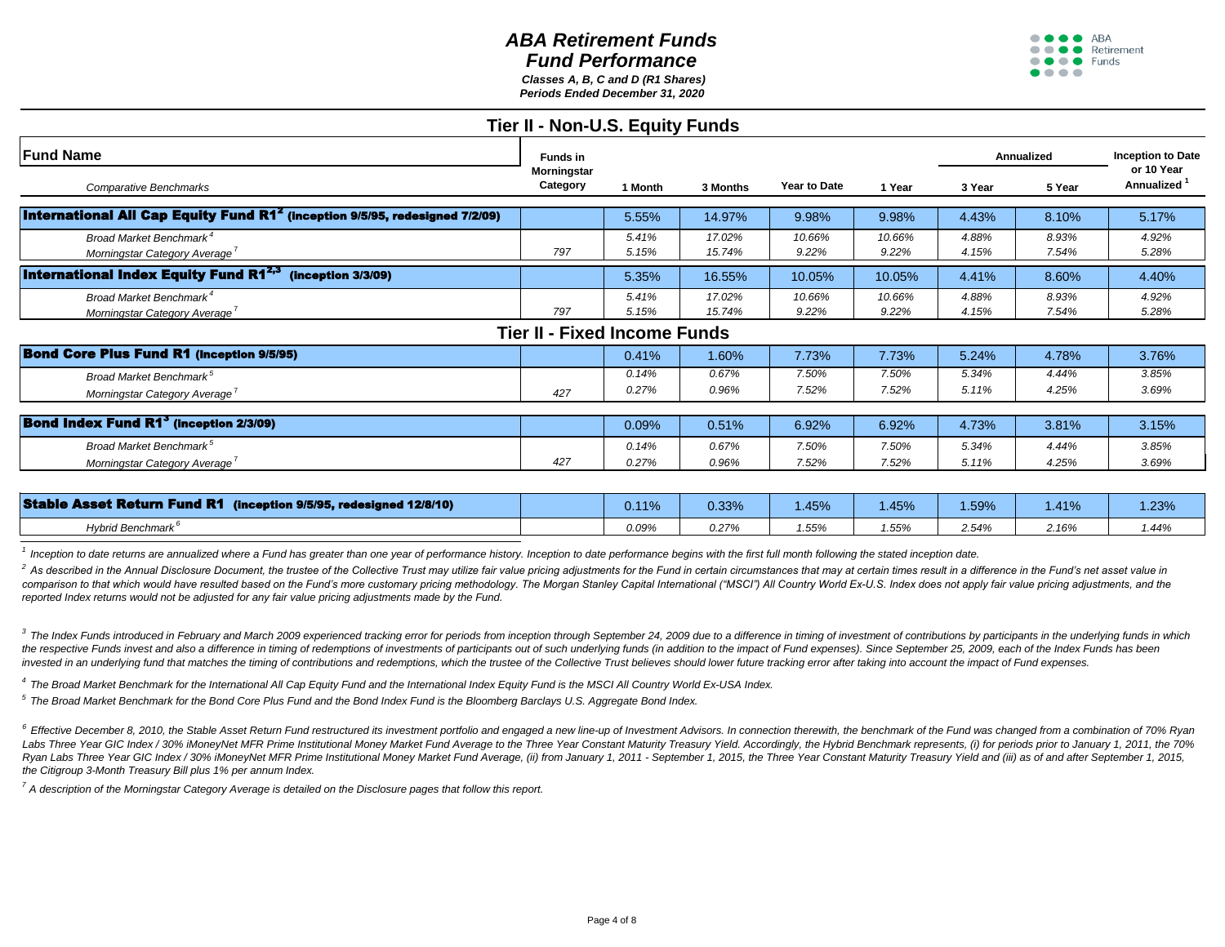*Periods Ended December 31, 2020 Classes A, B, C and D (R1 Shares)*



| Funds in |                |                  |                                                                        |                 | Annualized     |                | <b>Inception to Date</b>              |
|----------|----------------|------------------|------------------------------------------------------------------------|-----------------|----------------|----------------|---------------------------------------|
| Category | 1 Month        | 3 Months         | Year to Date                                                           | 1 Year          | 3 Year         | 5 Year         | or 10 Year<br>Annualized <sup>1</sup> |
|          | 5.55%          | 14.97%           | 9.98%                                                                  | 9.98%           | 4.43%          | 8.10%          | 5.17%                                 |
| 797      | 5.41%<br>5.15% | 17.02%<br>15.74% | 10.66%<br>9.22%                                                        | 10.66%<br>9.22% | 4.88%<br>4.15% | 8.93%<br>7.54% | 4.92%<br>5.28%                        |
|          | 5.35%          | 16.55%           | 10.05%                                                                 | 10.05%          | 4.41%          | 8.60%          | 4.40%                                 |
| 797      | 5.41%<br>5.15% | 17.02%<br>15.74% | 10.66%<br>9.22%                                                        | 10.66%<br>9.22% | 4.88%<br>4.15% | 8.93%<br>7.54% | 4.92%<br>5.28%                        |
|          |                |                  |                                                                        |                 |                |                |                                       |
|          | 0.41%          | 1.60%            | 7.73%                                                                  | 7.73%           | 5.24%          | 4.78%          | 3.76%                                 |
| 427      | 0.14%<br>0.27% | 0.67%<br>0.96%   | 7.50%<br>7.52%                                                         | 7.50%<br>7.52%  | 5.34%<br>5.11% | 4.44%<br>4.25% | 3.85%<br>3.69%                        |
|          | 0.09%          | 0.51%            | 6.92%                                                                  | 6.92%           | 4.73%          | 3.81%          | 3.15%                                 |
| 427      | 0.14%<br>0.27% | 0.67%<br>0.96%   | 7.50%<br>7.52%                                                         | 7.50%<br>7.52%  | 5.34%<br>5.11% | 4.44%<br>4.25% | 3.85%<br>3.69%                        |
|          | Morningstar    |                  | Tier II - Non-U.S. Equity Funds<br><b>Tier II - Fixed Income Funds</b> |                 |                |                |                                       |

| <b>Stable Asset Return Fund R1 (inception 9/5/95, redesigned 12/8/10)</b> | $\overline{AB}$<br>. . | $0.33\%$ | .45% | .45%  | .59%  | .41%  | .23%  |
|---------------------------------------------------------------------------|------------------------|----------|------|-------|-------|-------|-------|
| Hybrid Benchmark <sup>6</sup>                                             | 0.09%                  | 0.27%    | .55% | 1.55% | 2.54% | 2.16% | 1.44% |
|                                                                           |                        |          |      |       |       |       |       |

*1 Inception to date returns are annualized where a Fund has greater than one year of performance history. Inception to date performance begins with the first full month following the stated inception date.*

<sup>2</sup> As described in the Annual Disclosure Document, the trustee of the Collective Trust may utilize fair value pricing adjustments for the Fund in certain circumstances that may at certain times result in a difference in t comparison to that which would have resulted based on the Fund's more customary pricing methodology. The Morgan Stanley Capital International ("MSCI") All Country World Ex-U.S. Index does not apply fair value pricing adjus *reported Index returns would not be adjusted for any fair value pricing adjustments made by the Fund.* 

3 The Index Funds introduced in February and March 2009 experienced tracking error for periods from inception through September 24, 2009 due to a difference in timing of investment of contributions by participants in the u the respective Funds invest and also a difference in timing of redemptions of investments of participants out of such underlying funds (in addition to the impact of Fund expenses). Since September 25, 2009, each of the Ind invested in an underlying fund that matches the timing of contributions and redemptions, which the trustee of the Collective Trust believes should lower future tracking error after taking into account the impact of Fund ex

*4 The Broad Market Benchmark for the International All Cap Equity Fund and the International Index Equity Fund is the MSCI All Country World Ex-USA Index.*

*5 The Broad Market Benchmark for the Bond Core Plus Fund and the Bond Index Fund is the Bloomberg Barclays U.S. Aggregate Bond Index.*

<sup>6</sup> Effective December 8, 2010, the Stable Asset Return Fund restructured its investment portfolio and engaged a new line-up of Investment Advisors. In connection therewith, the benchmark of the Fund was changed from a com Labs Three Year GIC Index / 30% iMoneyNet MFR Prime Institutional Money Market Fund Average to the Three Year Constant Maturity Treasury Yield. Accordingly, the Hybrid Benchmark represents, (i) for periods prior to January Ryan Labs Three Year GIC Index / 30% iMoneyNet MFR Prime Institutional Money Market Fund Average, (ii) from January 1, 2011 - September 1, 2015, the Three Year Constant Maturity Treasury Yield and (iii) as of and after Sep *the Citigroup 3-Month Treasury Bill plus 1% per annum Index.*

*<sup>7</sup>A description of the Morningstar Category Average is detailed on the Disclosure pages that follow this report.*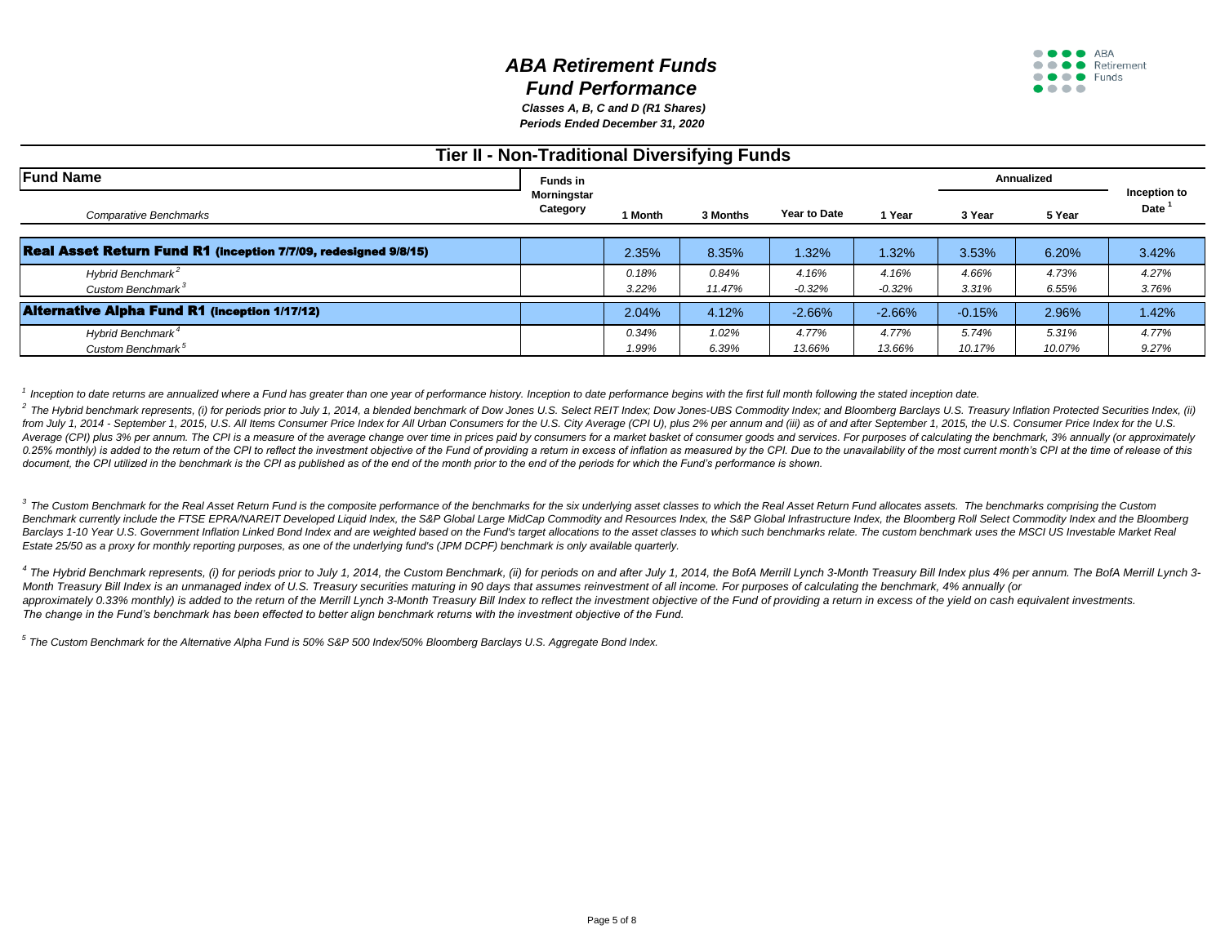*Periods Ended December 31, 2020 Classes A, B, C and D (R1 Shares)*

## **Tier II - Non-Traditional Diversifying Funds**

| <b>Fund Name</b>                                                       | <b>Funds in</b>         |                |                 |                     |                   |                 | Annualized      |                                   |
|------------------------------------------------------------------------|-------------------------|----------------|-----------------|---------------------|-------------------|-----------------|-----------------|-----------------------------------|
| Comparative Benchmarks                                                 | Morningstar<br>Category | 1 Month        | 3 Months        | <b>Year to Date</b> | 1 Year            | 3 Year          | 5 Year          | Inception to<br>Date <sup>1</sup> |
| <b>Real Asset Return Fund R1 (Inception 7/7/09, redesigned 9/8/15)</b> |                         | 2.35%          | 8.35%           | 1.32%               | 1.32%             | 3.53%           | 6.20%           | 3.42%                             |
| Hybrid Benchmark <sup>2</sup><br>Custom Benchmark <sup>3</sup>         |                         | 0.18%<br>3.22% | 0.84%<br>11.47% | 4.16%<br>$-0.32%$   | 4.16%<br>$-0.32%$ | 4.66%<br>3.31%  | 4.73%<br>6.55%  | 4.27%<br>3.76%                    |
| <b>Alternative Alpha Fund R1 (inception 1/17/12)</b>                   |                         | 2.04%          | 4.12%           | $-2.66%$            | $-2.66%$          | $-0.15%$        | 2.96%           | 1.42%                             |
| Hybrid Benchmark <sup>4</sup><br>Custom Benchmark <sup>5</sup>         |                         | 0.34%<br>1.99% | 1.02%<br>6.39%  | 4.77%<br>13.66%     | 4.77%<br>13.66%   | 5.74%<br>10.17% | 5.31%<br>10.07% | 4.77%<br>9.27%                    |

<sup>1</sup> Inception to date returns are annualized where a Fund has greater than one year of performance history. Inception to date performance begins with the first full month following the stated inception date.

<sup>2</sup> The Hybrid benchmark represents, (i) for periods prior to July 1, 2014, a blended benchmark of Dow Jones U.S. Select REIT Index; Dow Jones-UBS Commodity Index; and Bloomberg Barclays U.S. Treasury Inflation Protected S from July 1, 2014 - September 1, 2015, U.S. All Items Consumer Price Index for All Urban Consumers for the U.S. City Average (CPI U), plus 2% per annum and (iii) as of and after September 1, 2015, the U.S. Consumer Price I Average (CPI) plus 3% per annum. The CPI is a measure of the average change over time in prices paid by consumers for a market basket of consumer goods and services. For purposes of calculating the benchmark, 3% annually ( 0.25% monthly) is added to the return of the CPI to reflect the investment objective of the Fund of providing a return in excess of inflation as measured by the CPI. Due to the unavailability of the most current month's CP document, the CPI utilized in the benchmark is the CPI as published as of the end of the month prior to the end of the periods for which the Fund's performance is shown.

3 The Custom Benchmark for the Real Asset Return Fund is the composite performance of the benchmarks for the six underlying asset classes to which the Real Asset Return Fund allocates assets. The benchmarks comprising the Benchmark currently include the FTSE EPRA/NAREIT Developed Liquid Index, the S&P Global Large MidCap Commodity and Resources Index, the S&P Global Infrastructure Index, the Bloomberg Roll Select Commodity Index and the Blo Barclays 1-10 Year U.S. Government Inflation Linked Bond Index and are weighted based on the Fund's target allocations to the asset classes to which such benchmarks relate. The custom benchmark uses the MSCI US Investable *Estate 25/50 as a proxy for monthly reporting purposes, as one of the underlying fund's (JPM DCPF) benchmark is only available quarterly.* 

4 The Hybrid Benchmark represents, (i) for periods prior to July 1, 2014, the Custom Benchmark, (ii) for periods on and after July 1, 2014, the BofA Merrill Lynch 3-Month Treasury Bill Index plus 4% per annum. The BofA Mer *Month Treasury Bill Index is an unmanaged index of U.S. Treasury securities maturing in 90 days that assumes reinvestment of all income. For purposes of calculating the benchmark, 4% annually (or* approximately 0.33% monthly) is added to the return of the Merrill Lynch 3-Month Treasury Bill Index to reflect the investment objective of the Fund of providing a return in excess of the yield on cash equivalent investmen *The change in the Fund's benchmark has been effected to better align benchmark returns with the investment objective of the Fund.*

*<sup>5</sup>The Custom Benchmark for the Alternative Alpha Fund is 50% S&P 500 Index/50% Bloomberg Barclays U.S. Aggregate Bond Index.*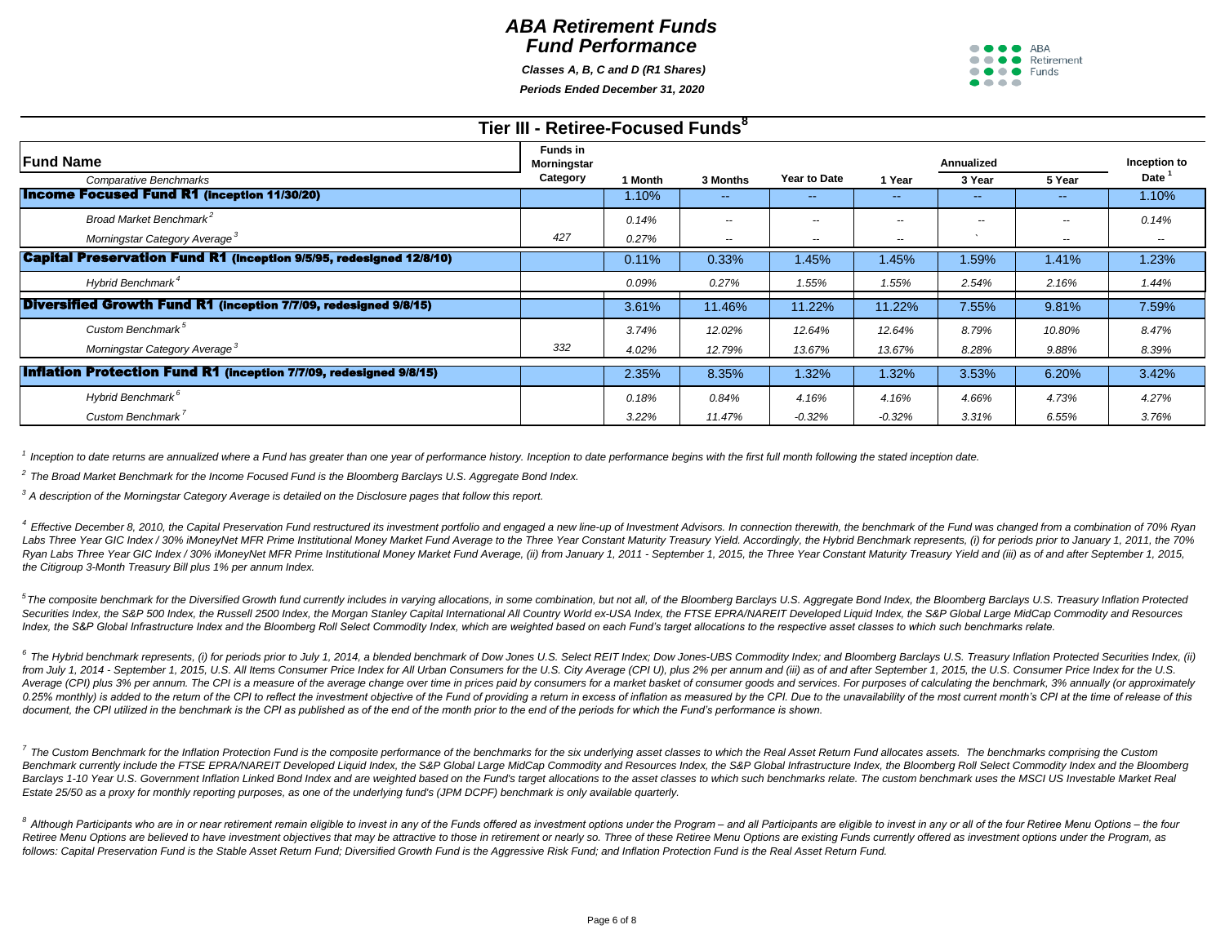*Classes A, B, C and D (R1 Shares)*

*Periods Ended December 31, 2020*

| <b>OCCO</b> ARA                              |  |
|----------------------------------------------|--|
| $\bullet \bullet \bullet \bullet$ Retirement |  |
| $\bullet \bullet \bullet \bullet$ Funds      |  |
| .                                            |  |

| Tier III - Retiree-Focused Funds <sup>8</sup>                              |                         |         |                          |                          |                          |            |               |              |  |  |
|----------------------------------------------------------------------------|-------------------------|---------|--------------------------|--------------------------|--------------------------|------------|---------------|--------------|--|--|
| <b>IFund Name</b>                                                          | Funds in<br>Morningstar |         |                          |                          |                          | Annualized |               | Inception to |  |  |
| <b>Comparative Benchmarks</b>                                              | Category                | 1 Month | 3 Months                 | Year to Date             | 1 Year                   | 3 Year     | 5 Year        | Date         |  |  |
| <b>Income Focused Fund R1 (inception 11/30/20)</b>                         |                         | 1.10%   | $\sim$ $\sim$            |                          | --                       |            | --            | 1.10%        |  |  |
| Broad Market Benchmark <sup>2</sup>                                        |                         | 0.14%   | $\overline{\phantom{a}}$ | --                       | $\overline{\phantom{m}}$ | $\sim$     | $- -$         | 0.14%        |  |  |
| Morningstar Category Average <sup>3</sup>                                  | 427                     | 0.27%   | $\overline{\phantom{a}}$ | $\overline{\phantom{a}}$ | $\sim$                   |            | $\sim$ $\sim$ | $\sim$       |  |  |
| <b>Capital Preservation Fund R1 (inception 9/5/95, redesigned 12/8/10)</b> |                         | 0.11%   | 0.33%                    | 1.45%                    | 1.45%                    | 1.59%      | 1.41%         | 1.23%        |  |  |
| Hybrid Benchmark <sup>4</sup>                                              |                         | 0.09%   | 0.27%                    | 1.55%                    | 1.55%                    | 2.54%      | 2.16%         | 1.44%        |  |  |
| Diversified Growth Fund R1 (inception 7/7/09, redesigned 9/8/15)           |                         | 3.61%   | 11.46%                   | 11.22%                   | 11.22%                   | 7.55%      | 9.81%         | 7.59%        |  |  |
| Custom Benchmark <sup>5</sup>                                              |                         | 3.74%   | 12.02%                   | 12.64%                   | 12.64%                   | 8.79%      | 10.80%        | 8.47%        |  |  |
| Morningstar Category Average <sup>3</sup>                                  | 332                     | 4.02%   | 12.79%                   | 13.67%                   | 13.67%                   | 8.28%      | 9.88%         | 8.39%        |  |  |
| <b>Inflation Protection Fund R1 (inception 7/7/09, redesigned 9/8/15)</b>  |                         | 2.35%   | 8.35%                    | 1.32%                    | 1.32%                    | 3.53%      | 6.20%         | 3.42%        |  |  |
| Hybrid Benchmark <sup>6</sup>                                              |                         | 0.18%   | 0.84%                    | 4.16%                    | 4.16%                    | 4.66%      | 4.73%         | 4.27%        |  |  |
| Custom Benchmark <sup>7</sup>                                              |                         | 3.22%   | 11.47%                   | $-0.32%$                 | $-0.32%$                 | 3.31%      | 6.55%         | 3.76%        |  |  |

<sup>1</sup> Inception to date returns are annualized where a Fund has greater than one year of performance history. Inception to date performance begins with the first full month following the stated inception date.

*2 The Broad Market Benchmark for the Income Focused Fund is the Bloomberg Barclays U.S. Aggregate Bond Index.*

*<sup>3</sup>A description of the Morningstar Category Average is detailed on the Disclosure pages that follow this report.*

4 Effective December 8, 2010, the Capital Preservation Fund restructured its investment portfolio and engaged a new line-up of Investment Advisors. In connection therewith, the benchmark of the Fund was changed from a comb Labs Three Year GIC Index / 30% iMoneyNet MFR Prime Institutional Money Market Fund Average to the Three Year Constant Maturity Treasury Yield. Accordingly, the Hybrid Benchmark represents, (i) for periods prior to January Ryan Labs Three Year GIC Index / 30% iMoneyNet MFR Prime Institutional Money Market Fund Average, (ii) from January 1, 2011 - September 1, 2015, the Three Year Constant Maturity Treasury Yield and (iii) as of and after Sep *the Citigroup 3-Month Treasury Bill plus 1% per annum Index.*

<sup>5</sup>The composite benchmark for the Diversified Growth fund currently includes in varying allocations, in some combination, but not all, of the Bloomberg Barclays U.S. Aggregate Bond Index, the Bloomberg Barclays U.S. Treas Securities Index, the S&P 500 Index, the Russell 2500 Index, the Morgan Stanley Capital International All Country World ex-USA Index, the FTSE EPRA/NAREIT Developed Liquid Index, the S&P Global Large MidCap Commodity and R Index, the S&P Global Infrastructure Index and the Bloomberg Roll Select Commodity Index, which are weighted based on each Fund's target allocations to the respective asset classes to which such benchmarks relate.

<sup>6</sup> The Hybrid benchmark represents, (i) for periods prior to July 1, 2014, a blended benchmark of Dow Jones U.S. Select REIT Index; Dow Jones-UBS Commodity Index; and Bloomberg Barclays U.S. Treasury Inflation Protected S from July 1, 2014 - September 1, 2015, U.S. All Items Consumer Price Index for All Urban Consumers for the U.S. City Average (CPI U), plus 2% per annum and (iii) as of and after September 1, 2015, the U.S. Consumer Price I Average (CPI) plus 3% per annum. The CPI is a measure of the average change over time in prices paid by consumers for a market basket of consumer goods and services. For purposes of calculating the benchmark, 3% annually ( 0.25% monthly) is added to the return of the CPI to reflect the investment objective of the Fund of providing a return in excess of inflation as measured by the CPI. Due to the unavailability of the most current month's CP document, the CPI utilized in the benchmark is the CPI as published as of the end of the month prior to the end of the periods for which the Fund's performance is shown.

7 The Custom Benchmark for the Inflation Protection Fund is the composite performance of the benchmarks for the six underlying asset classes to which the Real Asset Return Fund allocates assets. The benchmarks comprising t Benchmark currently include the FTSE EPRA/NAREIT Developed Liquid Index, the S&P Global Large MidCap Commodity and Resources Index, the S&P Global Infrastructure Index, the Bloomberg Roll Select Commodity Index and the Blo Barclays 1-10 Year U.S. Government Inflation Linked Bond Index and are weighted based on the Fund's target allocations to the asset classes to which such benchmarks relate. The custom benchmark uses the MSCI US Investable *Estate 25/50 as a proxy for monthly reporting purposes, as one of the underlying fund's (JPM DCPF) benchmark is only available quarterly.* 

<sup>8</sup> Although Participants who are in or near retirement remain eligible to invest in any of the Funds offered as investment options under the Program – and all Participants are eligible to invest in any or all of the four Retiree Menu Options are believed to have investment objectives that may be attractive to those in retirement or nearly so. Three of these Retiree Menu Options are existing Funds currently offered as investment options und *follows: Capital Preservation Fund is the Stable Asset Return Fund; Diversified Growth Fund is the Aggressive Risk Fund; and Inflation Protection Fund is the Real Asset Return Fund.*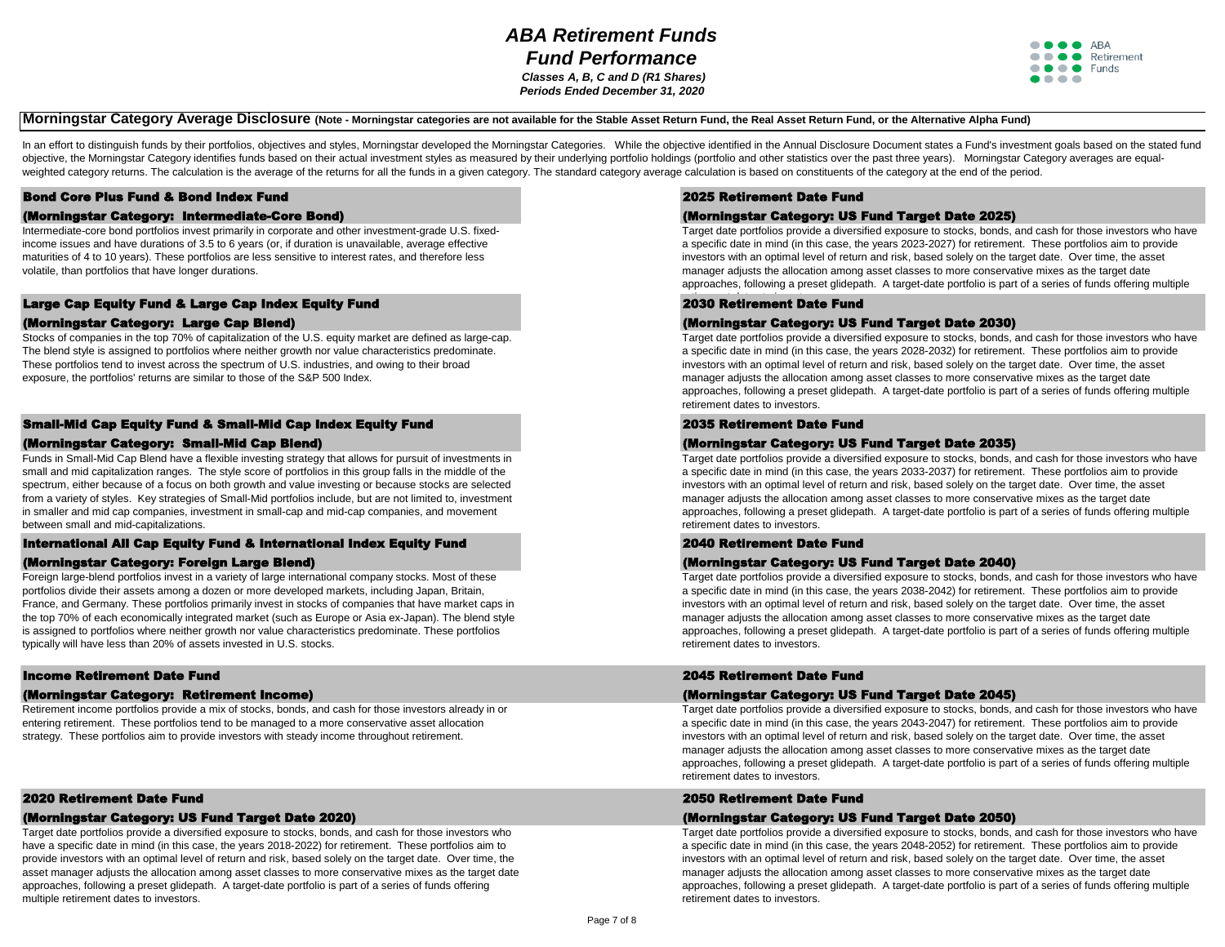## *ABA Retirement Funds Fund Performance Classes A, B, C and D (R1 Shares)*

*Periods Ended December 31, 2020*



## **Morningstar Category Average Disclosure** (Note - Morningstar categories are not available for the Stable Asset Return Fund, the Real Asset Return Fund, or the Alternative Alpha Fund)

In an effort to distinguish funds by their portfolios, objectives and styles, Morningstar developed the Morningstar Categories. While the objective identified in the Annual Disclosure Document states a Fund's investment go objective, the Morningstar Category identifies funds based on their actual investment styles as measured by their underlying portfolio holdings (portfolio and other statistics over the past three years). Morningstar Catego weighted category returns. The calculation is the average of the returns for all the funds in a given category. The standard category average calculation is based on constituents of the category at the end of the period.

## Bond Core Plus Fund & Bond Index Fund

#### (Morningstar Category: Intermediate-Core Bond)

Intermediate-core bond portfolios invest primarily in corporate and other investment-grade U.S. fixedincome issues and have durations of 3.5 to 6 years (or, if duration is unavailable, average effective maturities of 4 to 10 years). These portfolios are less sensitive to interest rates, and therefore less volatile, than portfolios that have longer durations.

#### Large Cap Equity Fund & Large Cap Index Equity Fund

#### (Morningstar Category: Large Cap Blend)

Stocks of companies in the top 70% of capitalization of the U.S. equity market are defined as large-cap. The blend style is assigned to portfolios where neither growth nor value characteristics predominate. These portfolios tend to invest across the spectrum of U.S. industries, and owing to their broad exposure, the portfolios' returns are similar to those of the S&P 500 Index.

## Small-Mid Cap Equity Fund & Small-Mid Cap Index Equity Fund

#### (Morningstar Category: Small-Mid Cap Blend)

Funds in Small-Mid Cap Blend have a flexible investing strategy that allows for pursuit of investments in small and mid capitalization ranges. The style score of portfolios in this group falls in the middle of the spectrum, either because of a focus on both growth and value investing or because stocks are selected from a variety of styles. Key strategies of Small-Mid portfolios include, but are not limited to, investment in smaller and mid cap companies, investment in small-cap and mid-cap companies, and movement between small and mid-capitalizations.

#### International All Cap Equity Fund & International Index Equity Fund

#### (Morningstar Category: Foreign Large Blend)

Foreign large-blend portfolios invest in a variety of large international company stocks. Most of these portfolios divide their assets among a dozen or more developed markets, including Japan, Britain, France, and Germany. These portfolios primarily invest in stocks of companies that have market caps in the top 70% of each economically integrated market (such as Europe or Asia ex-Japan). The blend style is assigned to portfolios where neither growth nor value characteristics predominate. These portfolios typically will have less than 20% of assets invested in U.S. stocks.

#### Income Retirement Date Fund

#### (Morningstar Category: Retirement Income)

Retirement income portfolios provide a mix of stocks, bonds, and cash for those investors already in or entering retirement. These portfolios tend to be managed to a more conservative asset allocation strategy. These portfolios aim to provide investors with steady income throughout retirement.

### 2020 Retirement Date Fund

#### (Morningstar Category: US Fund Target Date 2020)

Target date portfolios provide a diversified exposure to stocks, bonds, and cash for those investors who have a specific date in mind (in this case, the years 2018-2022) for retirement. These portfolios aim to provide investors with an optimal level of return and risk, based solely on the target date. Over time, the asset manager adjusts the allocation among asset classes to more conservative mixes as the target date approaches, following a preset glidepath. A target-date portfolio is part of a series of funds offering multiple retirement dates to investors.

### 2025 Retirement Date Fund

#### (Morningstar Category: US Fund Target Date 2025)

Target date portfolios provide a diversified exposure to stocks, bonds, and cash for those investors who have a specific date in mind (in this case, the years 2023-2027) for retirement. These portfolios aim to provide investors with an optimal level of return and risk, based solely on the target date. Over time, the asset manager adjusts the allocation among asset classes to more conservative mixes as the target date approaches, following a preset glidepath. A target-date portfolio is part of a series of funds offering multiple

## 2030 Retirement Date Fund

#### (Morningstar Category: US Fund Target Date 2030)

Target date portfolios provide a diversified exposure to stocks, bonds, and cash for those investors who have a specific date in mind (in this case, the years 2028-2032) for retirement. These portfolios aim to provide investors with an optimal level of return and risk, based solely on the target date. Over time, the asset manager adjusts the allocation among asset classes to more conservative mixes as the target date approaches, following a preset glidepath. A target-date portfolio is part of a series of funds offering multiple retirement dates to investors.

#### 2035 Retirement Date Fund

#### (Morningstar Category: US Fund Target Date 2035)

Target date portfolios provide a diversified exposure to stocks, bonds, and cash for those investors who have a specific date in mind (in this case, the years 2033-2037) for retirement. These portfolios aim to provide investors with an optimal level of return and risk, based solely on the target date. Over time, the asset manager adjusts the allocation among asset classes to more conservative mixes as the target date approaches, following a preset glidepath. A target-date portfolio is part of a series of funds offering multiple retirement dates to investors.

#### 2040 Retirement Date Fund

#### (Morningstar Category: US Fund Target Date 2040)

Target date portfolios provide a diversified exposure to stocks, bonds, and cash for those investors who have a specific date in mind (in this case, the years 2038-2042) for retirement. These portfolios aim to provide investors with an optimal level of return and risk, based solely on the target date. Over time, the asset manager adjusts the allocation among asset classes to more conservative mixes as the target date approaches, following a preset glidepath. A target-date portfolio is part of a series of funds offering multiple retirement dates to investors.

### 2045 Retirement Date Fund

#### (Morningstar Category: US Fund Target Date 2045)

Target date portfolios provide a diversified exposure to stocks, bonds, and cash for those investors who have a specific date in mind (in this case, the years 2043-2047) for retirement. These portfolios aim to provide investors with an optimal level of return and risk, based solely on the target date. Over time, the asset manager adjusts the allocation among asset classes to more conservative mixes as the target date approaches, following a preset glidepath. A target-date portfolio is part of a series of funds offering multiple retirement dates to investors.

#### 2050 Retirement Date Fund

#### (Morningstar Category: US Fund Target Date 2050)

Target date portfolios provide a diversified exposure to stocks, bonds, and cash for those investors who have a specific date in mind (in this case, the years 2048-2052) for retirement. These portfolios aim to provide investors with an optimal level of return and risk, based solely on the target date. Over time, the asset manager adjusts the allocation among asset classes to more conservative mixes as the target date approaches, following a preset glidepath. A target-date portfolio is part of a series of funds offering multiple retirement dates to investors.